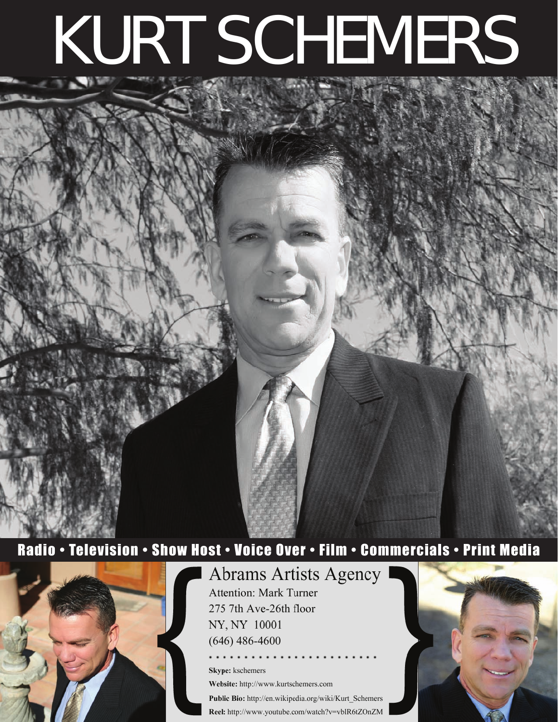# KURT SCHEMERS

# Radio • Television • Show Host • Voice Over • Film • Commercials • Print Media



**Abrams Artists Agency Attention: Mark Turner** 275 7th Ave-26th floor NY, NY 10001  $(646)$  486-4600

Skype: kschemers Website: http://www.kurtschemers.com Public Bio: http://en.wikipedia.org/wiki/Kurt\_Schemers Reel: http://www.youtube.com/watch?v=vblR6tZOnZM